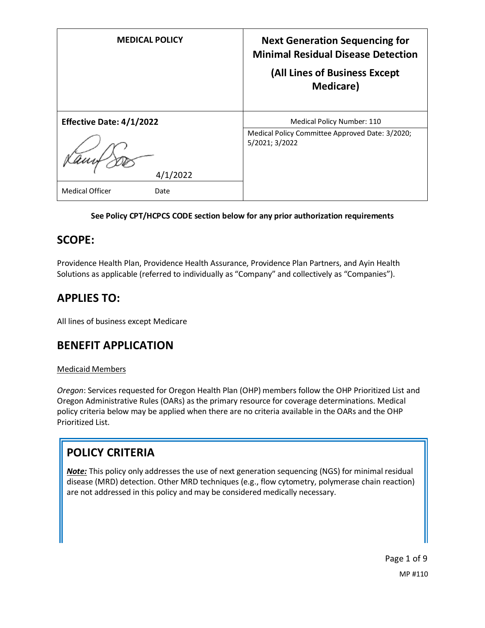| <b>MEDICAL POLICY</b>           | <b>Next Generation Sequencing for</b><br><b>Minimal Residual Disease Detection</b><br>(All Lines of Business Except<br><b>Medicare</b> ) |
|---------------------------------|------------------------------------------------------------------------------------------------------------------------------------------|
| <b>Effective Date: 4/1/2022</b> | Medical Policy Number: 110                                                                                                               |
| 4/1/2022                        | Medical Policy Committee Approved Date: 3/2020;<br>5/2021; 3/2022                                                                        |
| <b>Medical Officer</b><br>Date  |                                                                                                                                          |

## **See Policy CPT/HCPCS CODE section below for any prior authorization requirements**

# **SCOPE:**

Providence Health Plan, Providence Health Assurance, Providence Plan Partners, and Ayin Health Solutions as applicable (referred to individually as "Company" and collectively as "Companies").

# **APPLIES TO:**

All lines of business except Medicare

# **BENEFIT APPLICATION**

### Medicaid Members

*Oregon*: Services requested for Oregon Health Plan (OHP) members follow the OHP Prioritized List and Oregon Administrative Rules (OARs) as the primary resource for coverage determinations. Medical policy criteria below may be applied when there are no criteria available in the OARs and the OHP Prioritized List.

# **POLICY CRITERIA**

*Note:* This policy only addresses the use of next generation sequencing (NGS) for minimal residual disease (MRD) detection. Other MRD techniques (e.g., flow cytometry, polymerase chain reaction) are not addressed in this policy and may be considered medically necessary.

> Page 1 of 9 MP #110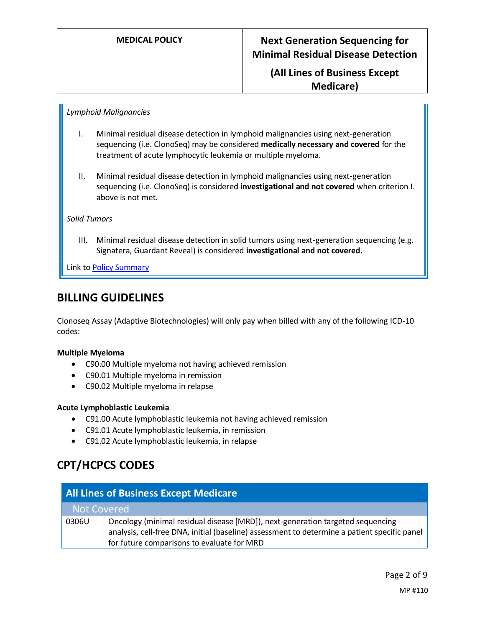**(All Lines of Business Except Medicare)**

#### *Lymphoid Malignancies*

- I. Minimal residual disease detection in lymphoid malignancies using next-generation sequencing (i.e. ClonoSeq) may be considered **medically necessary and covered** for the treatment of acute lymphocytic leukemia or multiple myeloma.
- II. Minimal residual disease detection in lymphoid malignancies using next-generation sequencing (i.e. ClonoSeq) is considered **investigational and not covered** when criterion I. above is not met.

#### *Solid Tumors*

III. Minimal residual disease detection in solid tumors using next-generation sequencing (e.g. Signatera, Guardant Reveal) is considered **investigational and not covered.**

Link t[o Policy Summary](#page-5-0)

# **BILLING GUIDELINES**

Clonoseq Assay (Adaptive Biotechnologies) will only pay when billed with any of the following ICD-10 codes:

#### **Multiple Myeloma**

- C90.00 Multiple myeloma not having achieved remission
- C90.01 Multiple myeloma in remission
- C90.02 Multiple myeloma in relapse

#### **Acute Lymphoblastic Leukemia**

- C91.00 Acute lymphoblastic leukemia not having achieved remission
- C91.01 Acute lymphoblastic leukemia, in remission
- C91.02 Acute lymphoblastic leukemia, in relapse

# **CPT/HCPCS CODES**

| <b>All Lines of Business Except Medicare</b> |                                                                                                                                                                                                                              |
|----------------------------------------------|------------------------------------------------------------------------------------------------------------------------------------------------------------------------------------------------------------------------------|
|                                              | Not Covered                                                                                                                                                                                                                  |
| 0306U                                        | Oncology (minimal residual disease [MRD]), next-generation targeted sequencing<br>analysis, cell-free DNA, initial (baseline) assessment to determine a patient specific panel<br>for future comparisons to evaluate for MRD |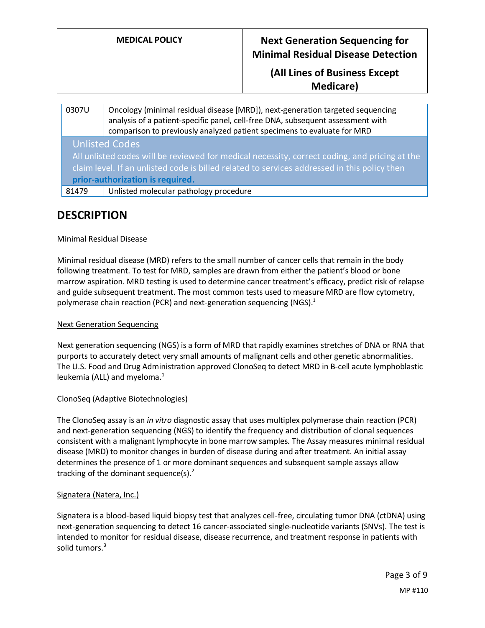| <b>MEDICAL POLICY</b> | <b>Next Generation Sequencing for</b><br><b>Minimal Residual Disease Detection</b> |
|-----------------------|------------------------------------------------------------------------------------|
|                       | (All Lines of Business Except                                                      |
|                       | <b>Medicare</b> )                                                                  |

#### 0307U Oncology (minimal residual disease [MRD]), next-generation targeted sequencing analysis of a patient-specific panel, cell-free DNA, subsequent assessment with comparison to previously analyzed patient specimens to evaluate for MRD Unlisted Codes

All unlisted codes will be reviewed for medical necessity, correct coding, and pricing at the claim level. If an unlisted code is billed related to services addressed in this policy then **prior-authorization is required.**

81479 | Unlisted molecular pathology procedure

# **DESCRIPTION**

#### Minimal Residual Disease

Minimal residual disease (MRD) refers to the small number of cancer cells that remain in the body following treatment. To test for MRD, samples are drawn from either the patient's blood or bone marrow aspiration. MRD testing is used to determine cancer treatment's efficacy, predict risk of relapse and guide subsequent treatment. The most common tests used to measure MRD are flow cytometry, polymerase chain reaction (PCR) and next-generation sequencing (NGS). $<sup>1</sup>$ </sup>

#### Next Generation Sequencing

Next generation sequencing (NGS) is a form of MRD that rapidly examines stretches of DNA or RNA that purports to accurately detect very small amounts of malignant cells and other genetic abnormalities. The U.S. Food and Drug Administration approved ClonoSeq to detect MRD in B-cell acute lymphoblastic leukemia (ALL) and myeloma. $<sup>1</sup>$ </sup>

#### ClonoSeq (Adaptive Biotechnologies)

The ClonoSeq assay is an *in vitro* diagnostic assay that uses multiplex polymerase chain reaction (PCR) and next-generation sequencing (NGS) to identify the frequency and distribution of clonal sequences consistent with a malignant lymphocyte in bone marrow samples. The Assay measures minimal residual disease (MRD) to monitor changes in burden of disease during and after treatment. An initial assay determines the presence of 1 or more dominant sequences and subsequent sample assays allow tracking of the dominant sequence(s). $2^2$ 

#### Signatera (Natera, Inc.)

Signatera is a blood-based liquid biopsy test that analyzes cell-free, circulating tumor DNA (ctDNA) using next-generation sequencing to detect 16 cancer-associated single-nucleotide variants (SNVs). The test is intended to monitor for residual disease, disease recurrence, and treatment response in patients with solid tumors.<sup>3</sup>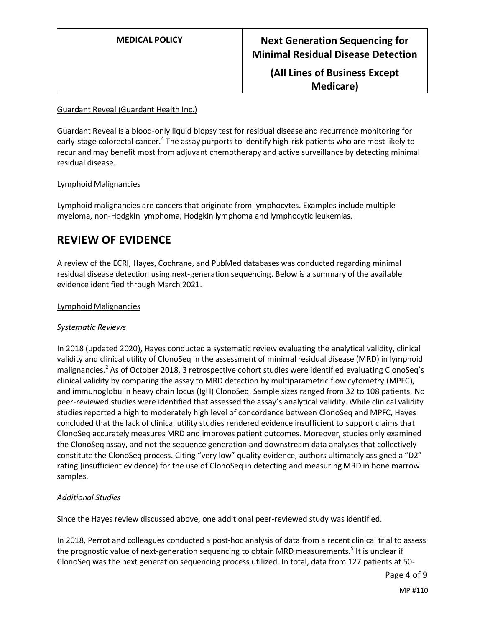**(All Lines of Business Except Medicare)**

#### Guardant Reveal (Guardant Health Inc.)

Guardant Reveal is a blood-only liquid biopsy test for residual disease and recurrence monitoring for early-stage colorectal cancer.<sup>4</sup> The assay purports to identify high-risk patients who are most likely to recur and may benefit most from adjuvant chemotherapy and active surveillance by detecting minimal residual disease.

#### Lymphoid Malignancies

Lymphoid malignancies are cancers that originate from lymphocytes. Examples include multiple myeloma, non-Hodgkin lymphoma, Hodgkin lymphoma and lymphocytic leukemias.

# **REVIEW OF EVIDENCE**

A review of the ECRI, Hayes, Cochrane, and PubMed databases was conducted regarding minimal residual disease detection using next-generation sequencing. Below is a summary of the available evidence identified through March 2021.

#### Lymphoid Malignancies

#### *Systematic Reviews*

In 2018 (updated 2020), Hayes conducted a systematic review evaluating the analytical validity, clinical validity and clinical utility of ClonoSeq in the assessment of minimal residual disease (MRD) in lymphoid malignancies.<sup>2</sup> As of October 2018, 3 retrospective cohort studies were identified evaluating ClonoSeq's clinical validity by comparing the assay to MRD detection by multiparametric flow cytometry (MPFC), and immunoglobulin heavy chain locus (IgH) ClonoSeq. Sample sizes ranged from 32 to 108 patients. No peer-reviewed studies were identified that assessed the assay's analytical validity. While clinical validity studies reported a high to moderately high level of concordance between ClonoSeq and MPFC, Hayes concluded that the lack of clinical utility studies rendered evidence insufficient to support claims that ClonoSeq accurately measures MRD and improves patient outcomes. Moreover, studies only examined the ClonoSeq assay, and not the sequence generation and downstream data analyses that collectively constitute the ClonoSeq process. Citing "very low" quality evidence, authors ultimately assigned a "D2" rating (insufficient evidence) for the use of ClonoSeq in detecting and measuring MRD in bone marrow samples.

#### *Additional Studies*

Since the Hayes review discussed above, one additional peer-reviewed study was identified.

In 2018, Perrot and colleagues conducted a post-hoc analysis of data from a recent clinical trial to assess the prognostic value of next-generation sequencing to obtain MRD measurements.<sup>5</sup> It is unclear if ClonoSeq was the next generation sequencing process utilized. In total, data from 127 patients at 50-

Page 4 of 9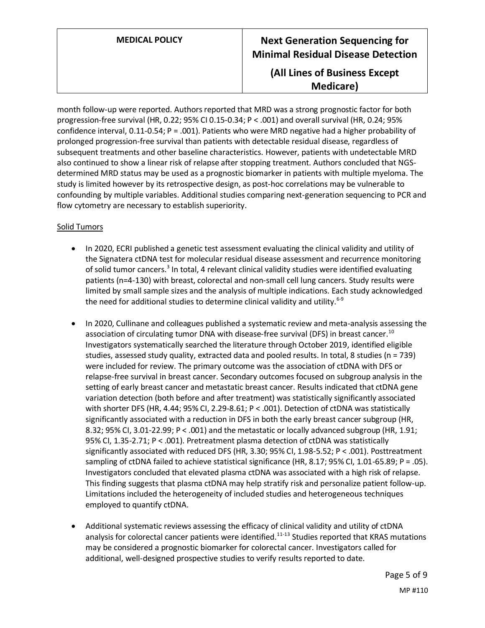## **(All Lines of Business Except Medicare)**

month follow-up were reported. Authors reported that MRD was a strong prognostic factor for both progression-free survival (HR, 0.22; 95% CI 0.15-0.34; P < .001) and overall survival (HR, 0.24; 95% confidence interval, 0.11-0.54; P = .001). Patients who were MRD negative had a higher probability of prolonged progression-free survival than patients with detectable residual disease, regardless of subsequent treatments and other baseline characteristics. However, patients with undetectable MRD also continued to show a linear risk of relapse after stopping treatment. Authors concluded that NGSdetermined MRD status may be used as a prognostic biomarker in patients with multiple myeloma. The study is limited however by its retrospective design, as post-hoc correlations may be vulnerable to confounding by multiple variables. Additional studies comparing next-generation sequencing to PCR and flow cytometry are necessary to establish superiority.

#### Solid Tumors

- In 2020, ECRI published a genetic test assessment evaluating the clinical validity and utility of the Signatera ctDNA test for molecular residual disease assessment and recurrence monitoring of solid tumor cancers.<sup>3</sup> In total, 4 relevant clinical validity studies were identified evaluating patients (n=4-130) with breast, colorectal and non-small cell lung cancers. Study results were limited by small sample sizes and the analysis of multiple indications. Each study acknowledged the need for additional studies to determine clinical validity and utility.<sup>6-9</sup>
- In 2020, Cullinane and colleagues published a systematic review and meta-analysis assessing the association of circulating tumor DNA with disease-free survival (DFS) in breast cancer.<sup>10</sup> Investigators systematically searched the literature through October 2019, identified eligible studies, assessed study quality, extracted data and pooled results. In total, 8 studies (n = 739) were included for review. The primary outcome was the association of ctDNA with DFS or relapse-free survival in breast cancer. Secondary outcomes focused on subgroup analysis in the setting of early breast cancer and metastatic breast cancer. Results indicated that ctDNA gene variation detection (both before and after treatment) was statistically significantly associated with shorter DFS (HR, 4.44; 95% CI, 2.29-8.61; P < .001). Detection of ctDNA was statistically significantly associated with a reduction in DFS in both the early breast cancer subgroup (HR, 8.32; 95% CI, 3.01-22.99; P < .001) and the metastatic or locally advanced subgroup (HR, 1.91; 95% CI, 1.35-2.71; P < .001). Pretreatment plasma detection of ctDNA was statistically significantly associated with reduced DFS (HR, 3.30; 95% CI, 1.98-5.52; P < .001). Posttreatment sampling of ctDNA failed to achieve statistical significance (HR, 8.17; 95% CI, 1.01-65.89; P = .05). Investigators concluded that elevated plasma ctDNA was associated with a high risk of relapse. This finding suggests that plasma ctDNA may help stratify risk and personalize patient follow-up. Limitations included the heterogeneity of included studies and heterogeneous techniques employed to quantify ctDNA.
- Additional systematic reviews assessing the efficacy of clinical validity and utility of ctDNA analysis for colorectal cancer patients were identified.<sup>11-13</sup> Studies reported that KRAS mutations may be considered a prognostic biomarker for colorectal cancer. Investigators called for additional, well-designed prospective studies to verify results reported to date.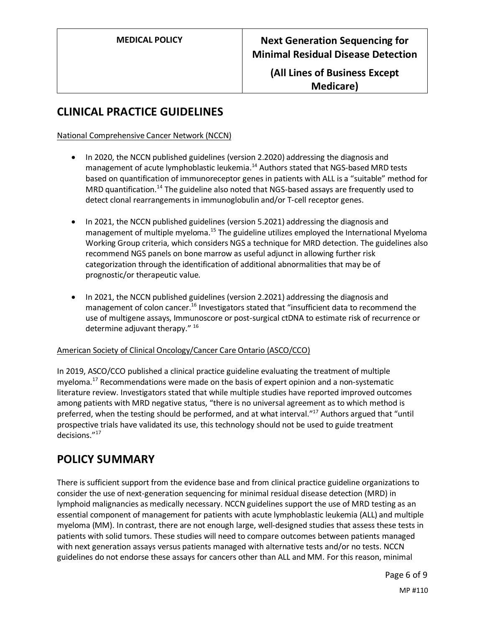## **(All Lines of Business Except Medicare)**

# **CLINICAL PRACTICE GUIDELINES**

#### National Comprehensive Cancer Network (NCCN)

- In 2020, the NCCN published guidelines (version 2.2020) addressing the diagnosis and management of acute lymphoblastic leukemia.<sup>14</sup> Authors stated that NGS-based MRD tests based on quantification of immunoreceptor genes in patients with ALL is a "suitable" method for MRD quantification.<sup>14</sup> The guideline also noted that NGS-based assays are frequently used to detect clonal rearrangements in immunoglobulin and/or T-cell receptor genes.
- In 2021, the NCCN published guidelines (version 5.2021) addressing the diagnosis and management of multiple myeloma.<sup>15</sup> The guideline utilizes employed the International Myeloma Working Group criteria, which considers NGS a technique for MRD detection. The guidelines also recommend NGS panels on bone marrow as useful adjunct in allowing further risk categorization through the identification of additional abnormalities that may be of prognostic/or therapeutic value.
- In 2021, the NCCN published guidelines (version 2.2021) addressing the diagnosis and management of colon cancer.<sup>16</sup> Investigators stated that "insufficient data to recommend the use of multigene assays, Immunoscore or post-surgical ctDNA to estimate risk of recurrence or determine adjuvant therapy."<sup>16</sup>

### American Society of Clinical Oncology/Cancer Care Ontario (ASCO/CCO)

In 2019, ASCO/CCO published a clinical practice guideline evaluating the treatment of multiple myeloma.<sup>17</sup> Recommendations were made on the basis of expert opinion and a non-systematic literature review. Investigators stated that while multiple studies have reported improved outcomes among patients with MRD negative status, "there is no universal agreement as to which method is preferred, when the testing should be performed, and at what interval."<sup>17</sup> Authors argued that "until prospective trials have validated its use, this technology should not be used to guide treatment decisions."<sup>17</sup>

# <span id="page-5-0"></span>**POLICY SUMMARY**

There is sufficient support from the evidence base and from clinical practice guideline organizations to consider the use of next-generation sequencing for minimal residual disease detection (MRD) in lymphoid malignancies as medically necessary. NCCN guidelines support the use of MRD testing as an essential component of management for patients with acute lymphoblastic leukemia (ALL) and multiple myeloma (MM). In contrast, there are not enough large, well-designed studies that assess these tests in patients with solid tumors. These studies will need to compare outcomes between patients managed with next generation assays versus patients managed with alternative tests and/or no tests. NCCN guidelines do not endorse these assays for cancers other than ALL and MM. For this reason, minimal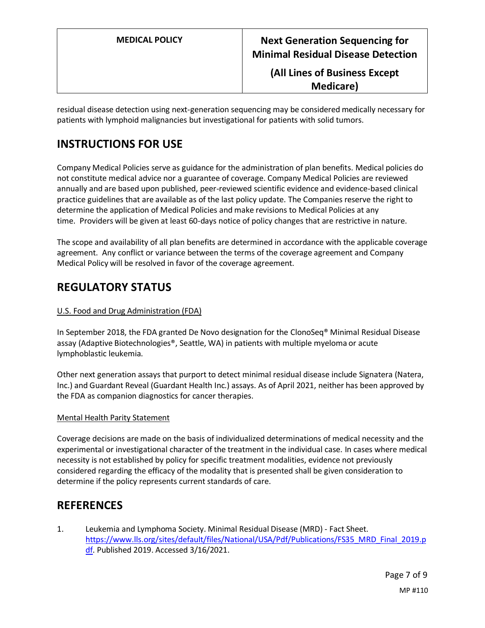## **(All Lines of Business Except Medicare)**

residual disease detection using next-generation sequencing may be considered medically necessary for patients with lymphoid malignancies but investigational for patients with solid tumors.

# **INSTRUCTIONS FOR USE**

Company Medical Policies serve as guidance for the administration of plan benefits. Medical policies do not constitute medical advice nor a guarantee of coverage. Company Medical Policies are reviewed annually and are based upon published, peer-reviewed scientific evidence and evidence-based clinical practice guidelines that are available as of the last policy update. The Companies reserve the right to determine the application of Medical Policies and make revisions to Medical Policies at any time. Providers will be given at least 60-days notice of policy changes that are restrictive in nature.

The scope and availability of all plan benefits are determined in accordance with the applicable coverage agreement. Any conflict or variance between the terms of the coverage agreement and Company Medical Policy will be resolved in favor of the coverage agreement.

# **REGULATORY STATUS**

#### U.S. Food and Drug Administration (FDA)

In September 2018, the FDA granted De Novo designation for the ClonoSeq® Minimal Residual Disease assay (Adaptive Biotechnologies®, Seattle, WA) in patients with multiple myeloma or acute lymphoblastic leukemia.

Other next generation assays that purport to detect minimal residual disease include Signatera (Natera, Inc.) and Guardant Reveal (Guardant Health Inc.) assays. As of April 2021, neither has been approved by the FDA as companion diagnostics for cancer therapies.

#### Mental Health Parity Statement

Coverage decisions are made on the basis of individualized determinations of medical necessity and the experimental or investigational character of the treatment in the individual case. In cases where medical necessity is not established by policy for specific treatment modalities, evidence not previously considered regarding the efficacy of the modality that is presented shall be given consideration to determine if the policy represents current standards of care.

# **REFERENCES**

1. Leukemia and Lymphoma Society. Minimal Residual Disease (MRD) - Fact Sheet. [https://www.lls.org/sites/default/files/National/USA/Pdf/Publications/FS35\\_MRD\\_Final\\_2019.p](https://www.lls.org/sites/default/files/National/USA/Pdf/Publications/FS35_MRD_Final_2019.pdf) [df.](https://www.lls.org/sites/default/files/National/USA/Pdf/Publications/FS35_MRD_Final_2019.pdf) Published 2019. Accessed 3/16/2021.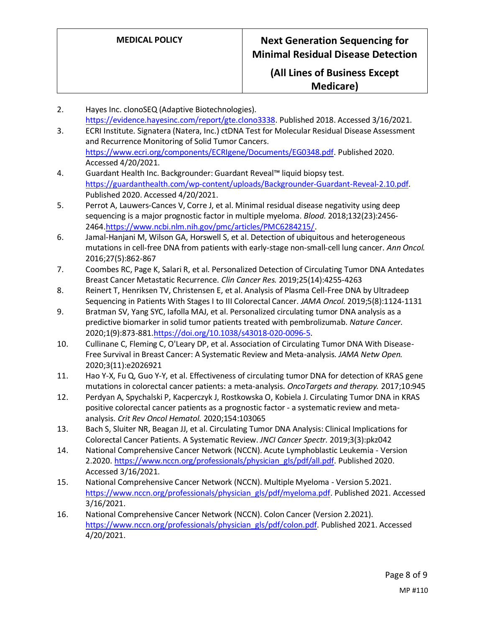## **(All Lines of Business Except Medicare)**

- 2. Hayes Inc. clonoSEQ (Adaptive Biotechnologies). [https://evidence.hayesinc.com/report/gte.clono3338.](https://evidence.hayesinc.com/report/gte.clono3338) Published 2018. Accessed 3/16/2021.
- 3. ECRI Institute. Signatera (Natera, Inc.) ctDNA Test for Molecular Residual Disease Assessment and Recurrence Monitoring of Solid Tumor Cancers. [https://www.ecri.org/components/ECRIgene/Documents/EG0348.pdf.](https://www.ecri.org/components/ECRIgene/Documents/EG0348.pdf) Published 2020. Accessed 4/20/2021.
- 4. Guardant Health Inc. Backgrounder: Guardant Reveal™ liquid biopsy test. [https://guardanthealth.com/wp-content/uploads/Backgrounder-Guardant-Reveal-2.10.pdf.](https://guardanthealth.com/wp-content/uploads/Backgrounder-Guardant-Reveal-2.10.pdf) Published 2020. Accessed 4/20/2021.
- 5. Perrot A, Lauwers-Cances V, Corre J, et al. Minimal residual disease negativity using deep sequencing is a major prognostic factor in multiple myeloma. *Blood.* 2018;132(23):2456- 2464[.https://www.ncbi.nlm.nih.gov/pmc/articles/PMC6284215/.](https://www.ncbi.nlm.nih.gov/pmc/articles/PMC6284215/)
- 6. Jamal-Hanjani M, Wilson GA, Horswell S, et al. Detection of ubiquitous and heterogeneous mutations in cell-free DNA from patients with early-stage non-small-cell lung cancer. *Ann Oncol.*  2016;27(5):862-867
- 7. Coombes RC, Page K, Salari R, et al. Personalized Detection of Circulating Tumor DNA Antedates Breast Cancer Metastatic Recurrence. *Clin Cancer Res.* 2019;25(14):4255-4263
- 8. Reinert T, Henriksen TV, Christensen E, et al. Analysis of Plasma Cell-Free DNA by Ultradeep Sequencing in Patients With Stages I to III Colorectal Cancer. *JAMA Oncol.* 2019;5(8):1124-1131
- 9. Bratman SV, Yang SYC, Iafolla MAJ, et al. Personalized circulating tumor DNA analysis as a predictive biomarker in solid tumor patients treated with pembrolizumab. *Nature Cancer.*  2020;1(9):873-88[1.https://doi.org/10.1038/s43018-020-0096-5.](https://doi.org/10.1038/s43018-020-0096-5)
- 10. Cullinane C, Fleming C, O'Leary DP, et al. Association of Circulating Tumor DNA With Disease-Free Survival in Breast Cancer: A Systematic Review and Meta-analysis. *JAMA Netw Open.*  2020;3(11):e2026921
- 11. Hao Y-X, Fu Q, Guo Y-Y, et al. Effectiveness of circulating tumor DNA for detection of KRAS gene mutations in colorectal cancer patients: a meta-analysis. *OncoTargets and therapy.* 2017;10:945
- 12. Perdyan A, Spychalski P, Kacperczyk J, Rostkowska O, Kobiela J. Circulating Tumor DNA in KRAS positive colorectal cancer patients as a prognostic factor - a systematic review and metaanalysis. *Crit Rev Oncol Hematol.* 2020;154:103065
- 13. Bach S, Sluiter NR, Beagan JJ, et al. Circulating Tumor DNA Analysis: Clinical Implications for Colorectal Cancer Patients. A Systematic Review. *JNCI Cancer Spectr.* 2019;3(3):pkz042
- 14. National Comprehensive Cancer Network (NCCN). Acute Lymphoblastic Leukemia Version 2.2020. [https://www.nccn.org/professionals/physician\\_gls/pdf/all.pdf.](https://www.nccn.org/professionals/physician_gls/pdf/all.pdf) Published 2020. Accessed 3/16/2021.
- 15. National Comprehensive Cancer Network (NCCN). Multiple Myeloma Version 5.2021. [https://www.nccn.org/professionals/physician\\_gls/pdf/myeloma.pdf.](https://www.nccn.org/professionals/physician_gls/pdf/myeloma.pdf) Published 2021. Accessed 3/16/2021.
- 16. National Comprehensive Cancer Network (NCCN). Colon Cancer (Version 2.2021). [https://www.nccn.org/professionals/physician\\_gls/pdf/colon.pdf.](https://www.nccn.org/professionals/physician_gls/pdf/colon.pdf) Published 2021. Accessed 4/20/2021.